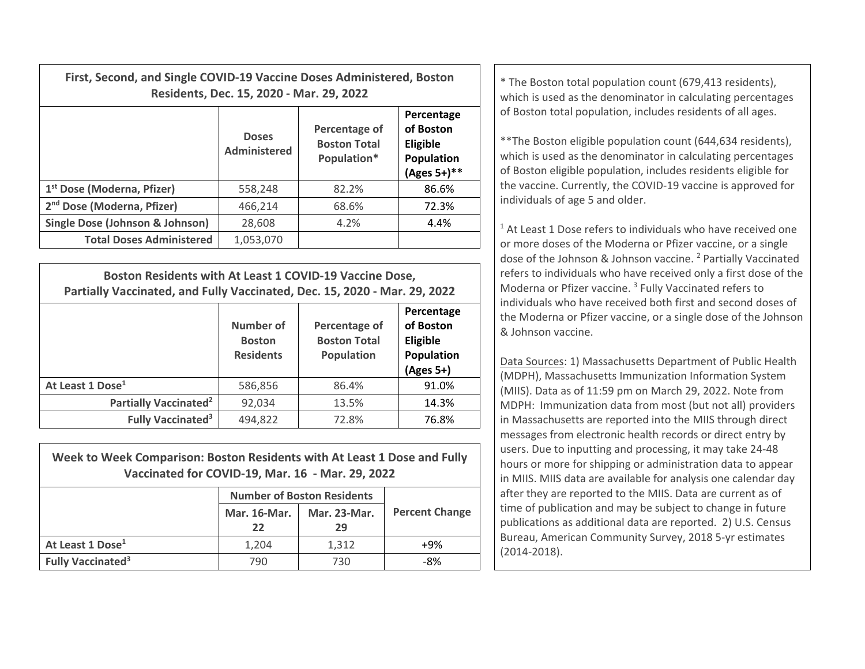| First, Second, and Single COVID-19 Vaccine Doses Administered, Boston | Residents, Dec. 15, 2020 - Mar. 29, 2022 | * The Boston total population count (679,413 residents),<br>which is used as the denominator in calculating percentages |                                                                            |                                                                                                                                                                                                                                                              |  |
|-----------------------------------------------------------------------|------------------------------------------|-------------------------------------------------------------------------------------------------------------------------|----------------------------------------------------------------------------|--------------------------------------------------------------------------------------------------------------------------------------------------------------------------------------------------------------------------------------------------------------|--|
|                                                                       | <b>Doses</b><br>Administered             | Percentage of<br><b>Boston Total</b><br>Population*                                                                     | Percentage<br>of Boston<br><b>Eligible</b><br>Population<br>$(Ages 5+)$ ** | of Boston total population, includes residents of all ages.<br>** The Boston eligible population count (644,634 residents),<br>which is used as the denominator in calculating percentages<br>of Boston eligible population, includes residents eligible for |  |
| 1 <sup>st</sup> Dose (Moderna, Pfizer)                                | 558,248                                  | 82.2%                                                                                                                   | 86.6%                                                                      | the vaccine. Currently, the COVID-19 vaccine is approved for<br>individuals of age 5 and older.<br><sup>1</sup> At Least 1 Dose refers to individuals who have received on                                                                                   |  |
| 2 <sup>nd</sup> Dose (Moderna, Pfizer)                                | 466,214                                  | 68.6%                                                                                                                   | 72.3%                                                                      |                                                                                                                                                                                                                                                              |  |
| Single Dose (Johnson & Johnson)                                       | 28,608                                   | 4.2%                                                                                                                    | 4.4%                                                                       |                                                                                                                                                                                                                                                              |  |
| <b>Total Doses Administered</b>                                       | 1,053,070                                |                                                                                                                         |                                                                            | or more doses of the Moderna or Pfizer vaccine, or a single                                                                                                                                                                                                  |  |

| Boston Residents with At Least 1 COVID-19 Vaccine Dose,<br>Partially Vaccinated, and Fully Vaccinated, Dec. 15, 2020 - Mar. 29, 2022 |                                                |                                                           |                                                                  |  |  |  |
|--------------------------------------------------------------------------------------------------------------------------------------|------------------------------------------------|-----------------------------------------------------------|------------------------------------------------------------------|--|--|--|
|                                                                                                                                      | Number of<br><b>Boston</b><br><b>Residents</b> | Percentage of<br><b>Boston Total</b><br><b>Population</b> | Percentage<br>of Boston<br>Eligible<br>Population<br>$(Ages 5+)$ |  |  |  |
| At Least 1 Dose <sup>1</sup>                                                                                                         | 586,856                                        | 86.4%                                                     | 91.0%                                                            |  |  |  |
| Partially Vaccinated <sup>2</sup>                                                                                                    | 92,034                                         | 13.5%                                                     | 14.3%                                                            |  |  |  |
| <b>Fully Vaccinated<sup>3</sup></b>                                                                                                  | 494,822                                        | 72.8%                                                     | 76.8%                                                            |  |  |  |

| Week to Week Comparison: Boston Residents with At Least 1 Dose and Fully<br>Vaccinated for COVID-19, Mar. 16 - Mar. 29, 2022 |                                   |              |                       |  |  |  |  |
|------------------------------------------------------------------------------------------------------------------------------|-----------------------------------|--------------|-----------------------|--|--|--|--|
|                                                                                                                              | <b>Number of Boston Residents</b> |              |                       |  |  |  |  |
|                                                                                                                              | Mar. 16-Mar.                      | Mar. 23-Mar. | <b>Percent Change</b> |  |  |  |  |
|                                                                                                                              | 22                                | 29           |                       |  |  |  |  |
| At Least 1 Dose <sup>1</sup>                                                                                                 | 1.204                             | 1.312        | $+9%$                 |  |  |  |  |
| <b>Fully Vaccinated<sup>3</sup></b>                                                                                          | 790                               | 730          | -8%                   |  |  |  |  |

 $1$  At Least 1 Dose refers to individuals who have received one or more doses of the Moderna or Pfizer vaccine, or <sup>a</sup> single dose of the Johnson & Johnson vaccine. <sup>2</sup> Partially Vaccinated refers to individuals who have received only <sup>a</sup> first dose of the Moderna or Pfizer vaccine. <sup>3</sup> Fully Vaccinated refers to individuals who have received both first and second doses of the Moderna or Pfizer vaccine, or <sup>a</sup> single dose of the Johnson & Johnson vaccine.

Data Sources: 1) Massachusetts Department of Public Health (MDPH), Massachusetts Immunization Information System (MIIS). Data as of 11:59 pm on March 29, 2022. Note from MDPH: Immunization data from most (but not all) providers in Massachusetts are reported into the MIIS through direct messages from electronic health records or direct entry by users. Due to inputting and processing, it may take 24‐48 hours or more for shipping or administration data to appear in MIIS. MIIS data are available for analysis one calendar day after they are reported to the MIIS. Data are current as of time of publication and may be subject to change in future publications as additional data are reported. 2) U.S. Census Bureau, American Community Survey, 2018 5‐yr estimates (2014‐2018).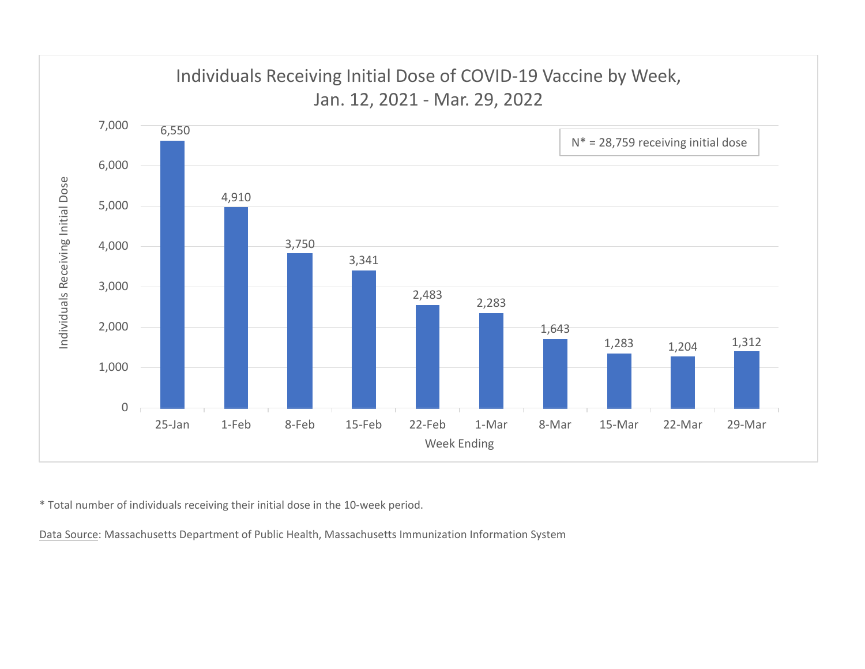

\* Total number of individuals receiving their initial dose in the 10‐week period.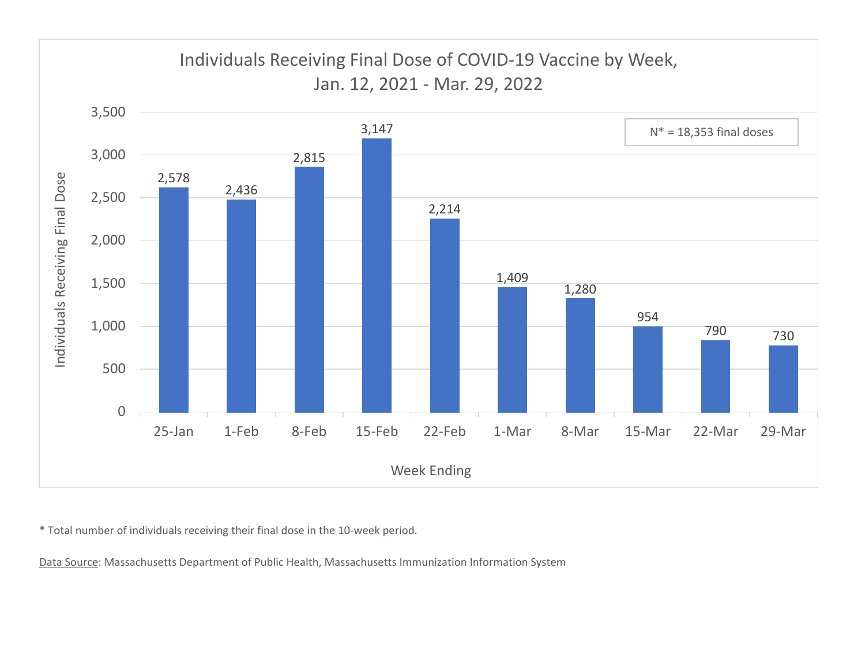

\* Total number of individuals receiving their final dose in the 10‐week period.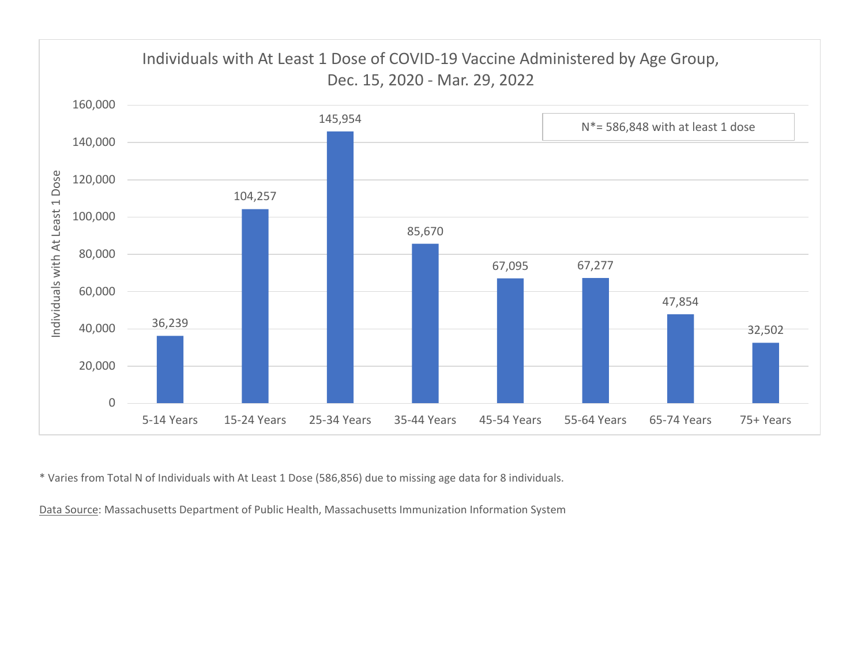

\* Varies from Total N of Individuals with At Least 1 Dose (586,856) due to missing age data for 8 individuals.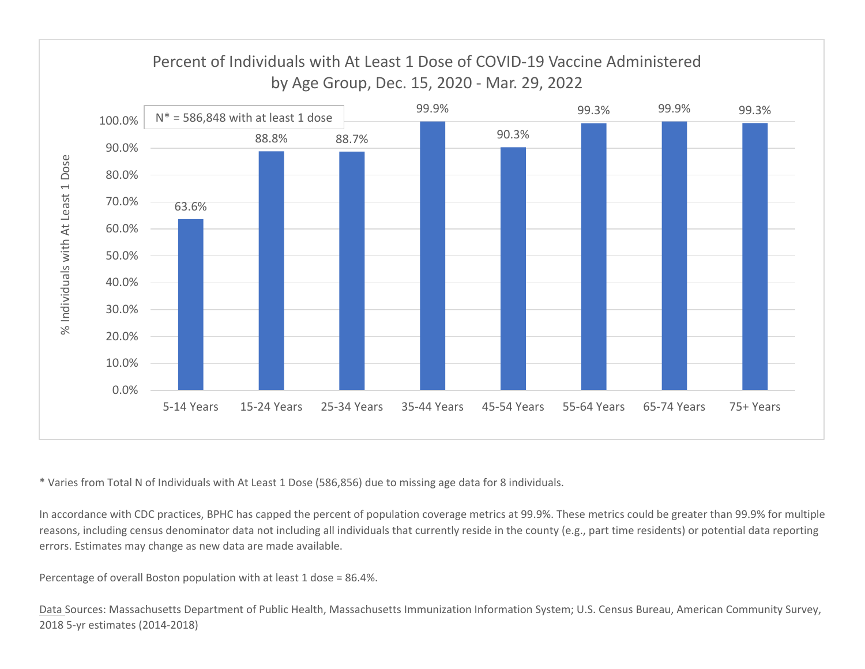

\* Varies from Total N of Individuals with At Least 1 Dose (586,856) due to missing age data for 8 individuals.

In accordance with CDC practices, BPHC has capped the percent of population coverage metrics at 99.9%. These metrics could be greater than 99.9% for multiple reasons, including census denominator data not including all individuals that currently reside in the county (e.g., part time residents) or potential data reporting errors. Estimates may change as new data are made available.

Percentage of overall Boston population with at least 1 dose <sup>=</sup> 86.4%.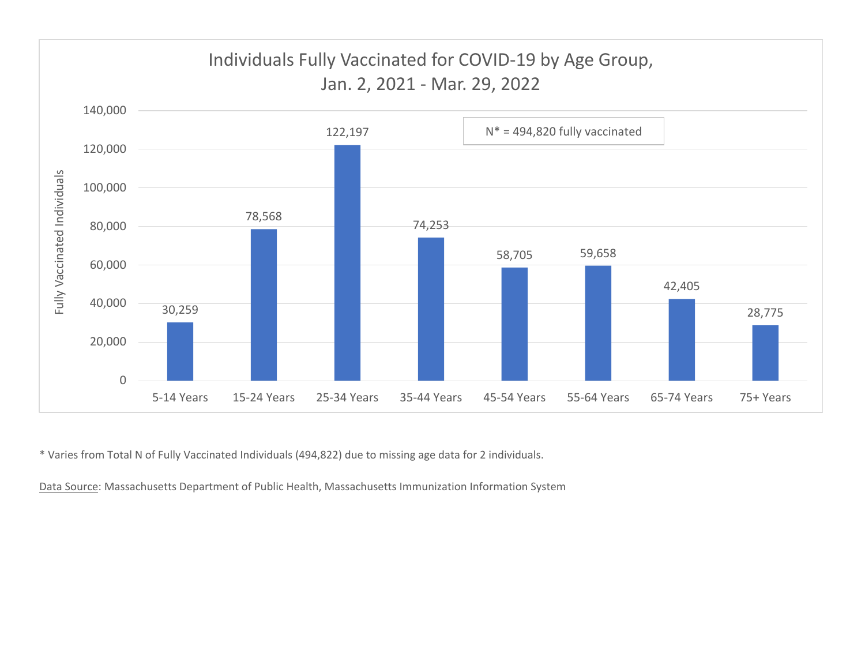

\* Varies from Total N of Fully Vaccinated Individuals (494,822) due to missing age data for 2 individuals.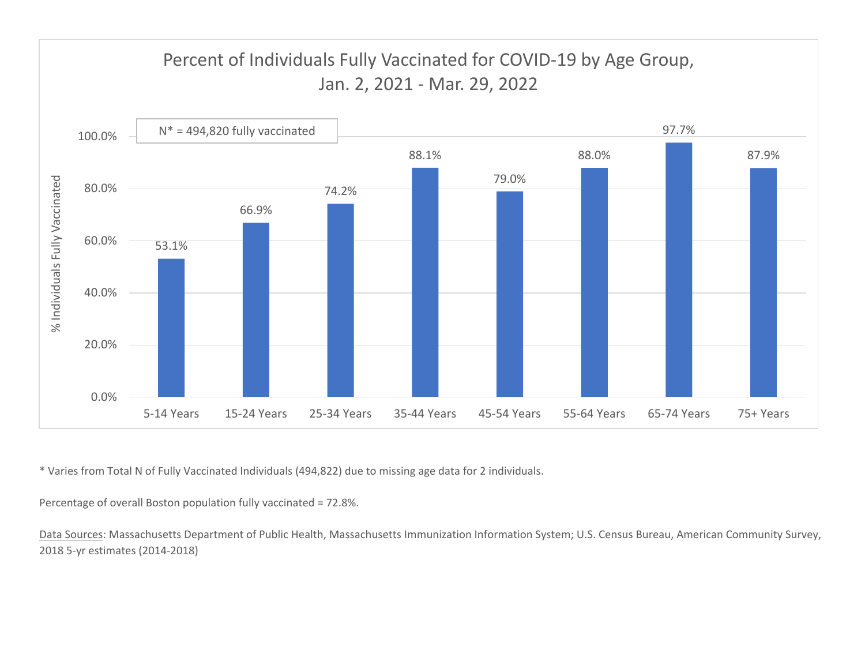

\* Varies from Total N of Fully Vaccinated Individuals (494,822) due to missing age data for 2 individuals.

Percentage of overall Boston population fully vaccinated <sup>=</sup> 72.8%.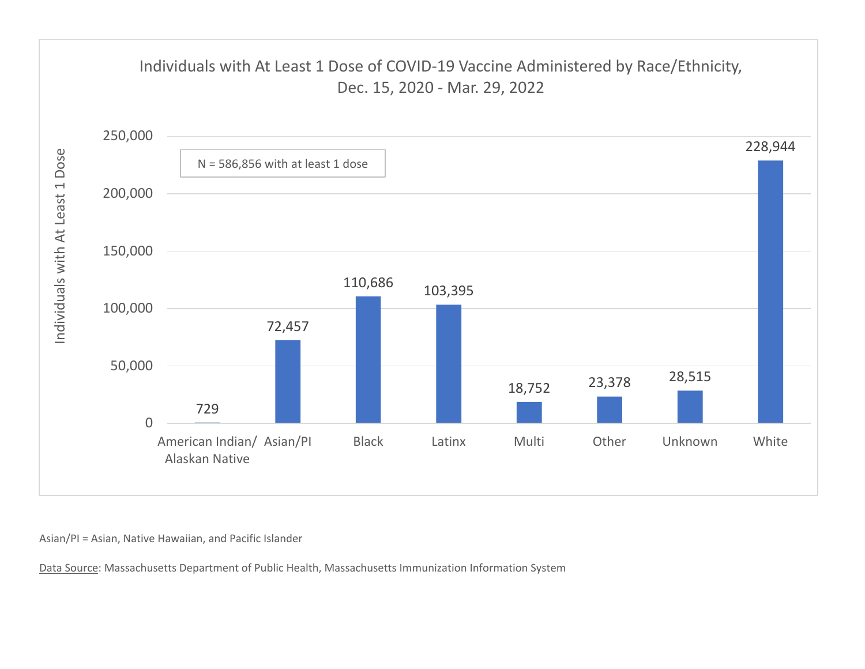

Asian/PI <sup>=</sup> Asian, Native Hawaiian, and Pacific Islander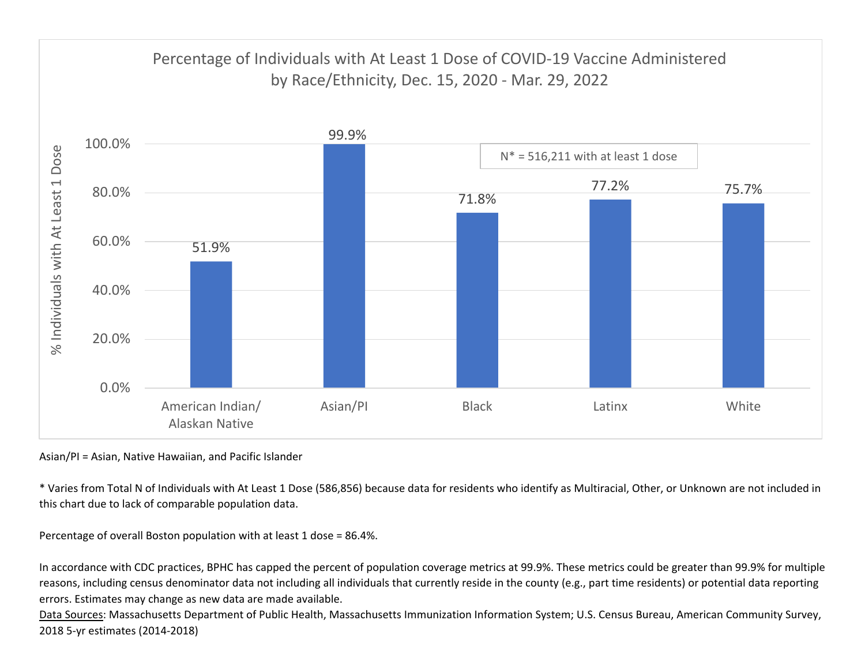

Asian/PI <sup>=</sup> Asian, Native Hawaiian, and Pacific Islander

\* Varies from Total N of Individuals with At Least 1 Dose (586,856) because data for residents who identify as Multiracial, Other, or Unknown are not included in this chart due to lack of comparable population data.

Percentage of overall Boston population with at least 1 dose <sup>=</sup> 86.4%.

In accordance with CDC practices, BPHC has capped the percent of population coverage metrics at 99.9%. These metrics could be greater than 99.9% for multiple reasons, including census denominator data not including all individuals that currently reside in the county (e.g., part time residents) or potential data reporting errors. Estimates may change as new data are made available.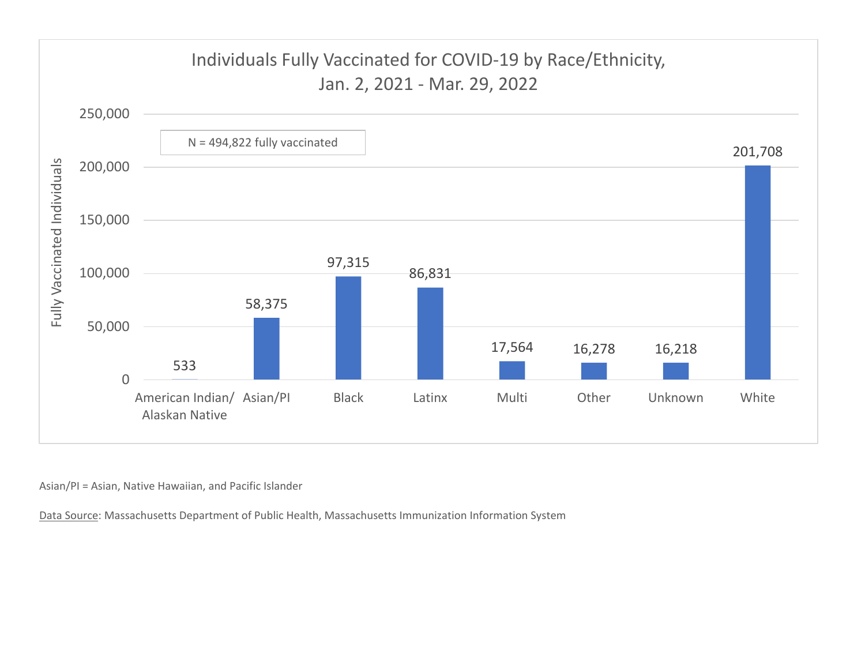

Asian/PI <sup>=</sup> Asian, Native Hawaiian, and Pacific Islander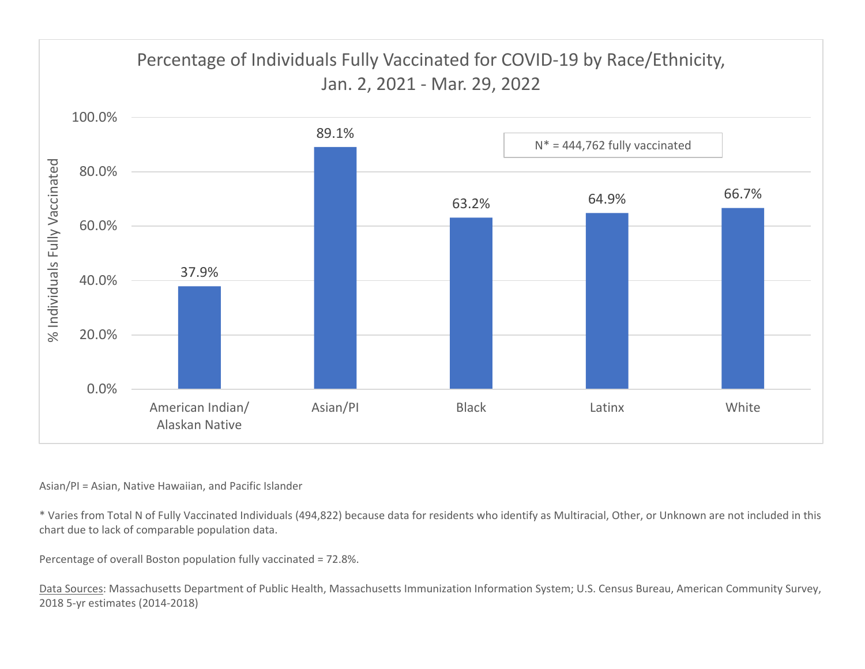

## Asian/PI <sup>=</sup> Asian, Native Hawaiian, and Pacific Islander

\* Varies from Total N of Fully Vaccinated Individuals (494,822) because data for residents who identify as Multiracial, Other, or Unknown are not included in this chart due to lack of comparable population data.

Percentage of overall Boston population fully vaccinated <sup>=</sup> 72.8%.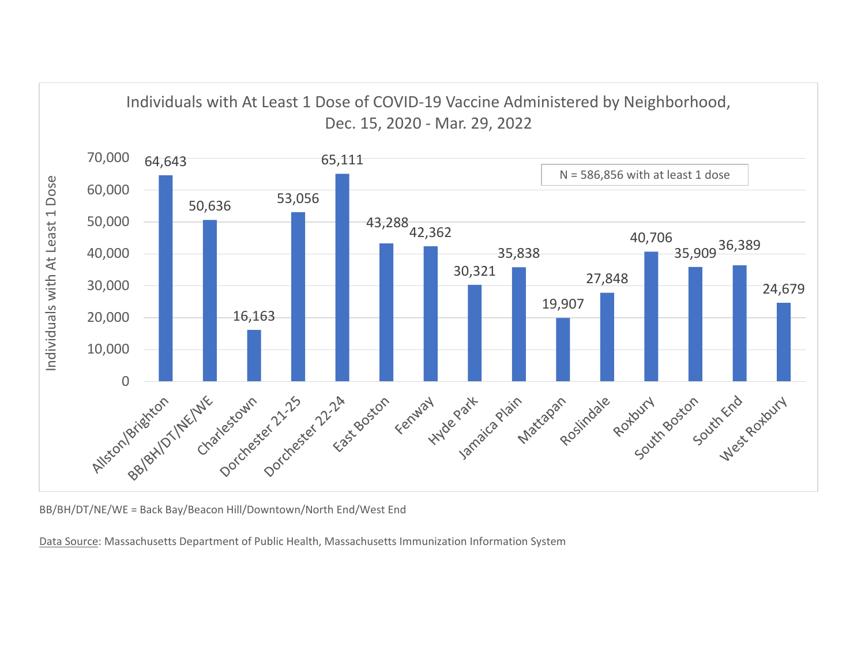

BB/BH/DT/NE/WE <sup>=</sup> Back Bay/Beacon Hill/Downtown/North End/West End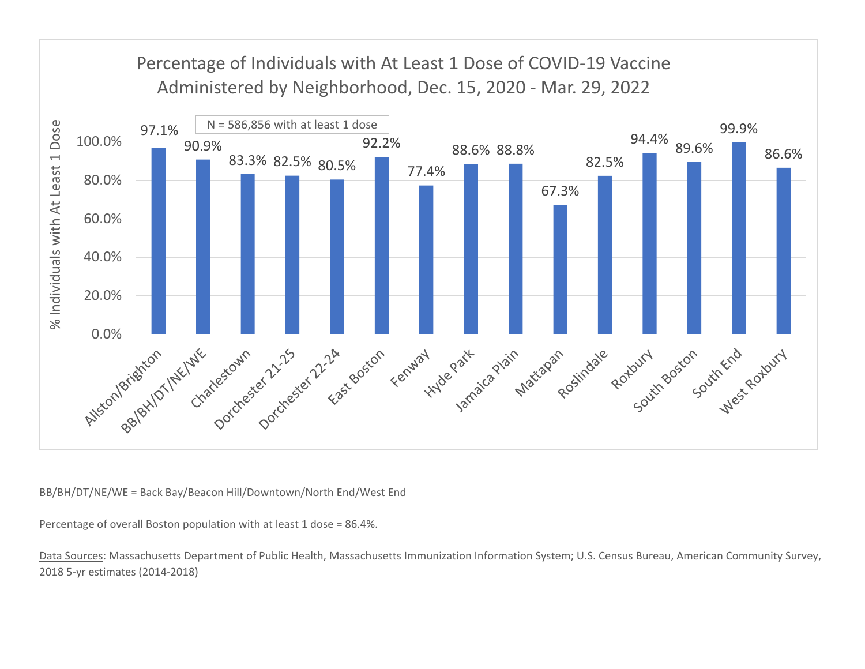

BB/BH/DT/NE/WE <sup>=</sup> Back Bay/Beacon Hill/Downtown/North End/West End

Percentage of overall Boston population with at least 1 dose <sup>=</sup> 86.4%.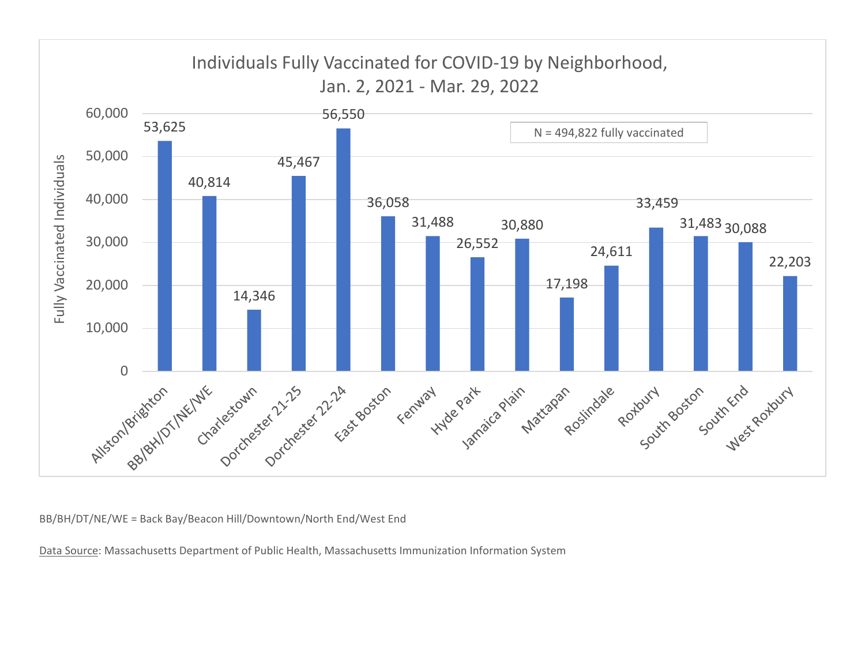

BB/BH/DT/NE/WE <sup>=</sup> Back Bay/Beacon Hill/Downtown/North End/West End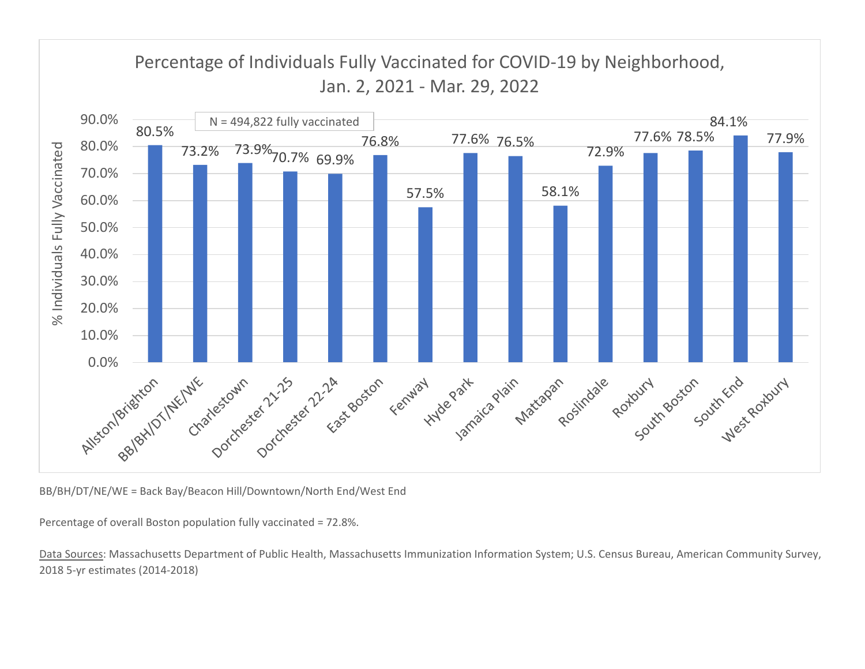

BB/BH/DT/NE/WE <sup>=</sup> Back Bay/Beacon Hill/Downtown/North End/West End

Percentage of overall Boston population fully vaccinated <sup>=</sup> 72.8%.